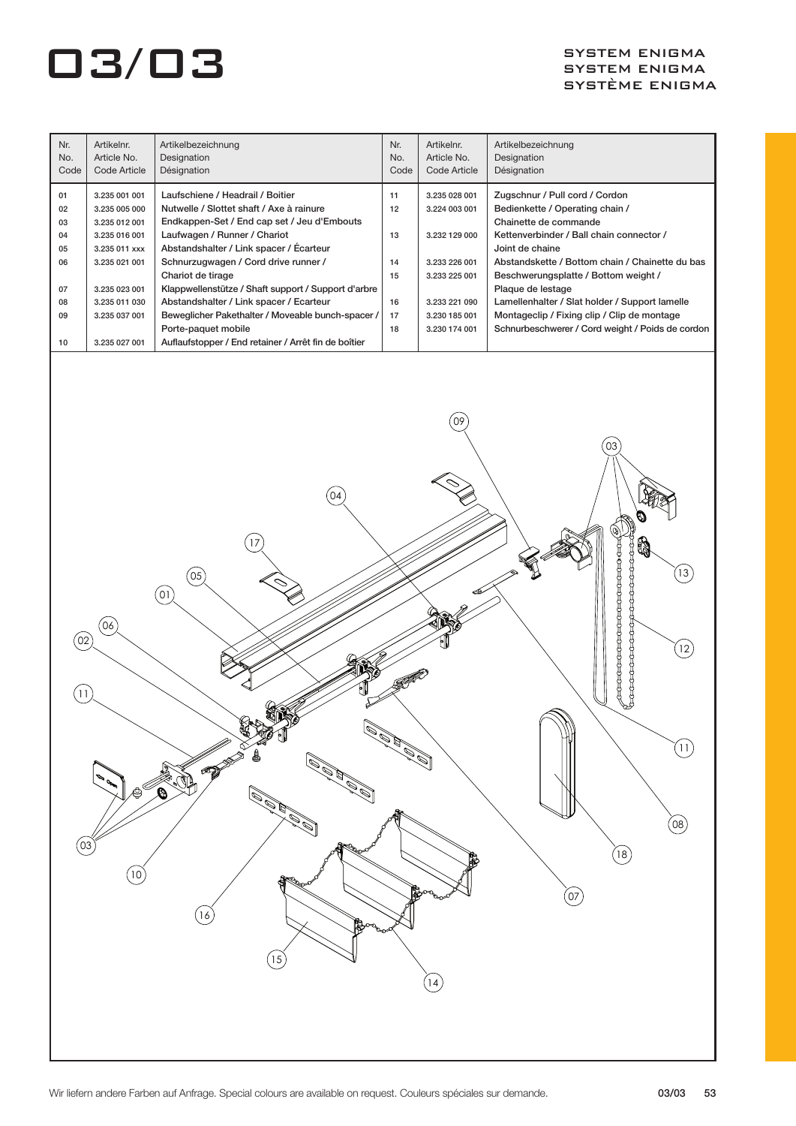| Nr.<br>No.<br>Code | Artikelnr.<br>Article No.<br>Code Article | Artikelbezeichnung<br>Designation<br>Désignation                                        | Nr.<br>No.<br>Code | Artikelnr.<br>Article No.<br>Code Article | Artikelbezeichnung<br>Designation<br>Désignation         |
|--------------------|-------------------------------------------|-----------------------------------------------------------------------------------------|--------------------|-------------------------------------------|----------------------------------------------------------|
| 01                 | 3.235 001 001                             | Laufschiene / Headrail / Boitier                                                        | 11                 | 3.235 028 001                             | Zugschnur / Pull cord / Cordon                           |
| 02<br>03           | 3.235 005 000<br>3.235 012 001            | Nutwelle / Slottet shaft / Axe à rainure<br>Endkappen-Set / End cap set / Jeu d'Embouts | 12                 | 3.224 003 001                             | Bedienkette / Operating chain /<br>Chainette de commande |
| 04                 | 3.235 016 001                             | Laufwagen / Runner / Chariot                                                            | 13                 | 3.232 129 000                             | Kettenverbinder / Ball chain connector /                 |
| 05                 | 3.235 011 xxx                             | Abstandshalter / Link spacer / Écarteur                                                 |                    |                                           | Joint de chaine                                          |
| 06                 | 3.235 021 001                             | Schnurzugwagen / Cord drive runner /                                                    | 14                 | 3.233 226 001                             | Abstandskette / Bottom chain / Chainette du bas          |
|                    |                                           | Chariot de tirage                                                                       | 15                 | 3.233 225 001                             | Beschwerungsplatte / Bottom weight /                     |
| 07                 | 3.235 023 001                             | Klappwellenstütze / Shaft support / Support d'arbre                                     |                    |                                           | Plaque de lestage                                        |
| 08                 | 3.235 011 030                             | Abstandshalter / Link spacer / Ecarteur                                                 | 16                 | 3.233 221 090                             | Lamellenhalter / Slat holder / Support lamelle           |
| 09                 | 3.235 037 001                             | Beweglicher Pakethalter / Moveable bunch-spacer /                                       | 17                 | 3.230 185 001                             | Montageclip / Fixing clip / Clip de montage              |
|                    |                                           | Porte-paquet mobile                                                                     | 18                 | 3.230 174 001                             | Schnurbeschwerer / Cord weight / Poids de cordon         |
| 10                 | 3.235 027 001                             | Auflaufstopper / End retainer / Arrêt fin de boîtier                                    |                    |                                           |                                                          |
|                    |                                           |                                                                                         |                    |                                           |                                                          |

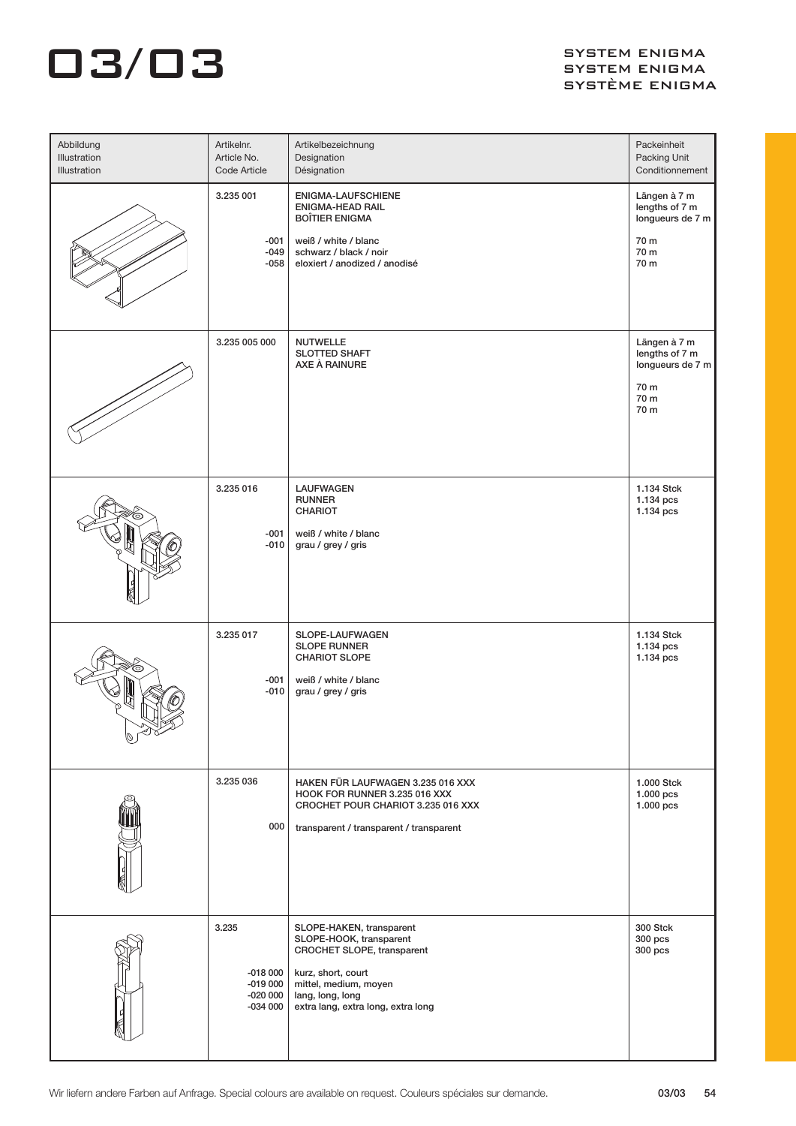| Abbildung<br>Illustration<br>Illustration | Artikelnr.<br>Article No.<br>Code Article                 | Artikelbezeichnung<br>Designation<br>Désignation                                                                                                                                           | Packeinheit<br>Packing Unit<br>Conditionnement                             |
|-------------------------------------------|-----------------------------------------------------------|--------------------------------------------------------------------------------------------------------------------------------------------------------------------------------------------|----------------------------------------------------------------------------|
|                                           | 3.235 001<br>-001<br>$-049$<br>-058                       | ENIGMA-LAUFSCHIENE<br><b>ENIGMA-HEAD RAIL</b><br><b>BOÎTIER ENIGMA</b><br>weiß / white / blanc<br>schwarz / black / noir<br>eloxiert / anodized / anodisé                                  | Längen à 7 m<br>lengths of 7 m<br>longueurs de 7 m<br>70 m<br>70 m<br>70 m |
|                                           | 3.235 005 000                                             | <b>NUTWELLE</b><br><b>SLOTTED SHAFT</b><br>AXE À RAINURE                                                                                                                                   | Längen à 7 m<br>lengths of 7 m<br>longueurs de 7 m<br>70 m<br>70 m<br>70 m |
|                                           | 3.235 016<br>$-001$<br>$-010$                             | <b>LAUFWAGEN</b><br><b>RUNNER</b><br>CHARIOT<br>weiß / white / blanc<br>grau / grey / gris                                                                                                 | 1.134 Stck<br>1.134 pcs<br>1.134 pcs                                       |
| O                                         | 3.235 017<br>-001<br>$-010$                               | SLOPE-LAUFWAGEN<br><b>SLOPE RUNNER</b><br><b>CHARIOT SLOPE</b><br>weiß / white / blanc<br>grau / grey / gris                                                                               | 1.134 Stck<br>1.134 pcs<br>1.134 pcs                                       |
|                                           | 3.235 036<br>000                                          | HAKEN FÜR LAUFWAGEN 3.235 016 XXX<br>HOOK FOR RUNNER 3.235 016 XXX<br>CROCHET POUR CHARIOT 3.235 016 XXX<br>transparent / transparent / transparent                                        | 1.000 Stck<br>1.000 pcs<br>1.000 pcs                                       |
|                                           | 3.235<br>$-018000$<br>$-019000$<br>$-020000$<br>$-034000$ | SLOPE-HAKEN, transparent<br>SLOPE-HOOK, transparent<br>CROCHET SLOPE, transparent<br>kurz, short, court<br>mittel, medium, moyen<br>lang, long, long<br>extra lang, extra long, extra long | <b>300 Stck</b><br>300 pcs<br>300 pcs                                      |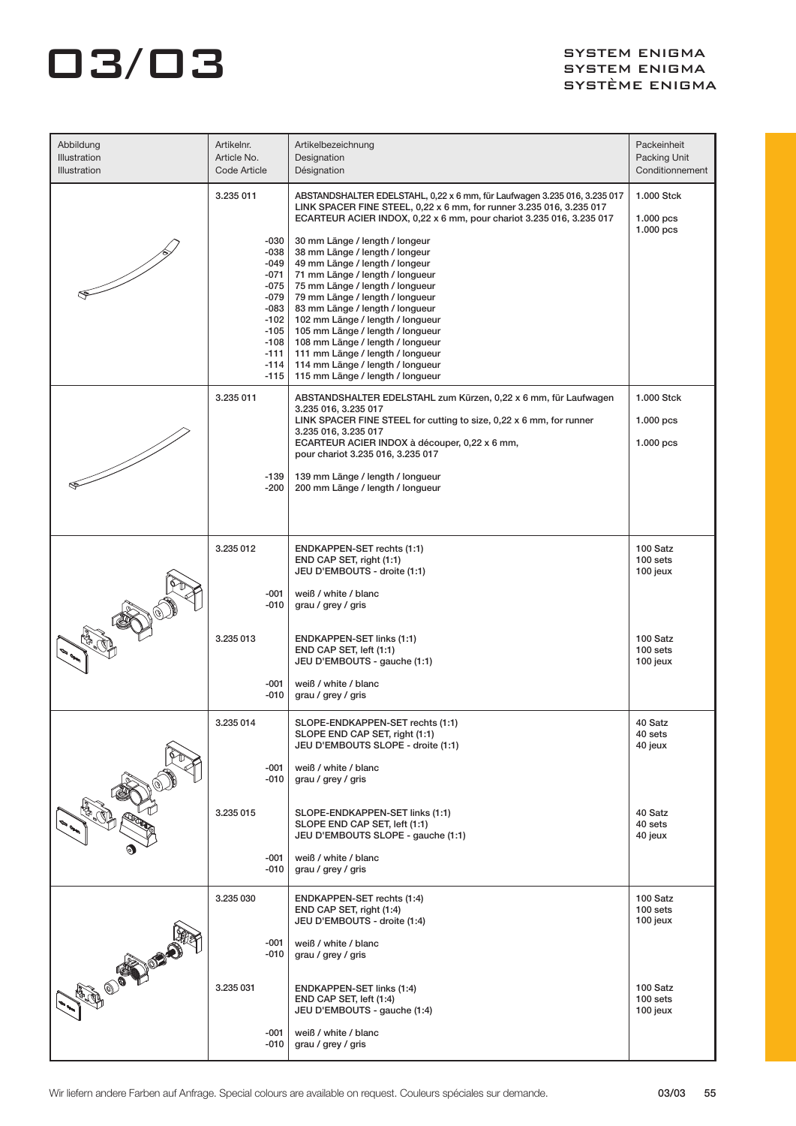| Abbildung<br>Illustration<br><b>Illustration</b> | Artikelnr.<br>Article No.<br>Code Article                                                                              | Artikelbezeichnung<br>Designation<br>Désignation                                                                                                                                                                                                                                                                                                                                                                                                                       | Packeinheit<br>Packing Unit<br>Conditionnement |
|--------------------------------------------------|------------------------------------------------------------------------------------------------------------------------|------------------------------------------------------------------------------------------------------------------------------------------------------------------------------------------------------------------------------------------------------------------------------------------------------------------------------------------------------------------------------------------------------------------------------------------------------------------------|------------------------------------------------|
|                                                  | 3.235 011                                                                                                              | ABSTANDSHALTER EDELSTAHL, 0,22 x 6 mm, für Laufwagen 3.235 016, 3.235 017<br>LINK SPACER FINE STEEL, 0,22 x 6 mm, for runner 3.235 016, 3.235 017<br>ECARTEUR ACIER INDOX, 0,22 x 6 mm, pour chariot 3.235 016, 3.235 017                                                                                                                                                                                                                                              | 1.000 Stck<br>$1.000$ pcs<br>$1.000$ pcs       |
|                                                  | -030<br>-038<br>$-049$<br>-071<br>$-075$<br>$-079$<br>$-083$<br>$-102$<br>-105<br>$-108$<br>$-111$<br>$-114$<br>$-115$ | 30 mm Länge / length / longeur<br>38 mm Länge / length / longeur<br>49 mm Länge / length / longeur<br>71 mm Länge / length / longueur<br>75 mm Länge / length / longueur<br>79 mm Länge / length / longueur<br>83 mm Länge / length / longueur<br>102 mm Länge / length / longueur<br>105 mm Länge / length / longueur<br>108 mm Länge / length / longueur<br>111 mm Länge / length / longueur<br>114 mm Länge / length / longueur<br>115 mm Länge / length / longueur |                                                |
|                                                  | 3.235 011                                                                                                              | ABSTANDSHALTER EDELSTAHL zum Kürzen, 0,22 x 6 mm, für Laufwagen<br>3.235 016, 3.235 017                                                                                                                                                                                                                                                                                                                                                                                | 1.000 Stck                                     |
|                                                  |                                                                                                                        | LINK SPACER FINE STEEL for cutting to size, 0,22 x 6 mm, for runner<br>3.235 016, 3.235 017<br>ECARTEUR ACIER INDOX à découper, 0,22 x 6 mm,<br>pour chariot 3.235 016, 3.235 017                                                                                                                                                                                                                                                                                      | $1.000$ pcs<br>$1.000$ pcs                     |
|                                                  | -139<br>-200                                                                                                           | 139 mm Länge / length / longueur<br>200 mm Länge / length / longueur                                                                                                                                                                                                                                                                                                                                                                                                   |                                                |
|                                                  | 3.235 012                                                                                                              | ENDKAPPEN-SET rechts (1:1)<br>END CAP SET, right (1:1)<br>JEU D'EMBOUTS - droite (1:1)                                                                                                                                                                                                                                                                                                                                                                                 | 100 Satz<br>100 sets<br>100 jeux               |
|                                                  | $-001$<br>$-010$                                                                                                       | weiß / white / blanc<br>grau / grey / gris                                                                                                                                                                                                                                                                                                                                                                                                                             |                                                |
|                                                  | 3.235 013                                                                                                              | <b>ENDKAPPEN-SET links (1:1)</b><br>END CAP SET, left (1:1)<br>JEU D'EMBOUTS - gauche (1:1)                                                                                                                                                                                                                                                                                                                                                                            | 100 Satz<br>100 sets<br>100 jeux               |
|                                                  | -001<br>-010                                                                                                           | weiß / white / blanc<br>grau / grey / gris                                                                                                                                                                                                                                                                                                                                                                                                                             |                                                |
|                                                  | 3.235 014                                                                                                              | SLOPE-ENDKAPPEN-SET rechts (1:1)<br>SLOPE END CAP SET, right (1:1)<br>JEU D'EMBOUTS SLOPE - droite (1:1)                                                                                                                                                                                                                                                                                                                                                               | 40 Satz<br>40 sets<br>40 jeux                  |
|                                                  | -001<br>-010                                                                                                           | weiß / white / blanc<br>grau / grey / gris                                                                                                                                                                                                                                                                                                                                                                                                                             |                                                |
|                                                  | 3.235 015                                                                                                              | SLOPE-ENDKAPPEN-SET links (1:1)<br>SLOPE END CAP SET, left (1:1)<br>JEU D'EMBOUTS SLOPE - gauche (1:1)                                                                                                                                                                                                                                                                                                                                                                 | 40 Satz<br>40 sets<br>40 jeux                  |
|                                                  | $-001$<br>-010                                                                                                         | weiß / white / blanc<br>grau / grey / gris                                                                                                                                                                                                                                                                                                                                                                                                                             |                                                |
|                                                  | 3.235 030                                                                                                              | ENDKAPPEN-SET rechts (1:4)<br>END CAP SET, right (1:4)<br>JEU D'EMBOUTS - droite (1:4)                                                                                                                                                                                                                                                                                                                                                                                 | 100 Satz<br>100 sets<br>100 jeux               |
|                                                  | -001<br>-010                                                                                                           | weiß / white / blanc<br>grau / grey / gris                                                                                                                                                                                                                                                                                                                                                                                                                             |                                                |
| <b>BUDONES</b>                                   | 3.235 031                                                                                                              | ENDKAPPEN-SET links (1:4)<br>END CAP SET, left (1:4)<br>JEU D'EMBOUTS - gauche (1:4)                                                                                                                                                                                                                                                                                                                                                                                   | 100 Satz<br>100 sets<br>100 jeux               |
|                                                  | -001<br>$-010$                                                                                                         | weiß / white / blanc<br>grau / grey / gris                                                                                                                                                                                                                                                                                                                                                                                                                             |                                                |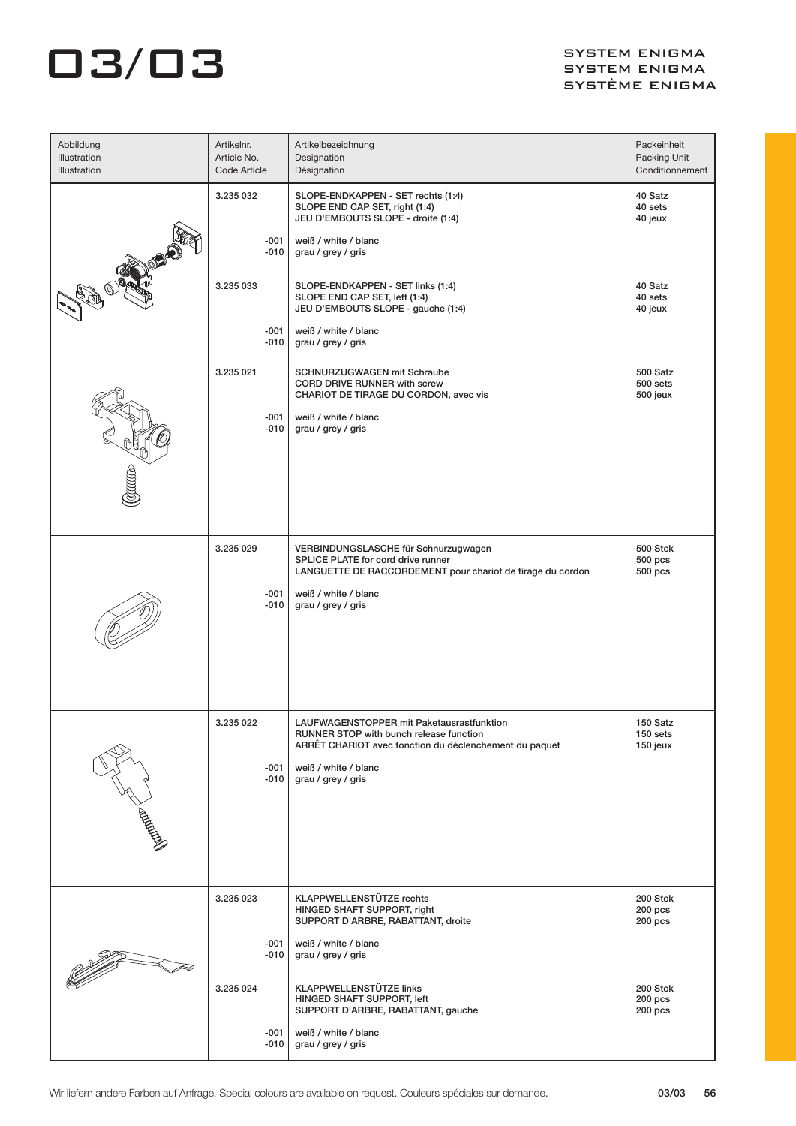| Abbildung<br>Illustration<br>Illustration | Artikelnr.<br>Article No.<br>Code Article | Artikelbezeichnung<br>Designation<br>Désignation                                                                                                                                              | Packeinheit<br>Packing Unit<br>Conditionnement      |
|-------------------------------------------|-------------------------------------------|-----------------------------------------------------------------------------------------------------------------------------------------------------------------------------------------------|-----------------------------------------------------|
|                                           | 3.235 032<br>$-001$<br>-010<br>3.235 033  | SLOPE-ENDKAPPEN - SET rechts (1:4)<br>SLOPE END CAP SET, right (1:4)<br>JEU D'EMBOUTS SLOPE - droite (1:4)<br>weiß / white / blanc<br>grau / grey / gris<br>SLOPE-ENDKAPPEN - SET links (1:4) | 40 Satz<br>40 sets<br>40 jeux<br>40 Satz<br>40 sets |
|                                           | -001<br>$-010$                            | SLOPE END CAP SET, left (1:4)<br>JEU D'EMBOUTS SLOPE - gauche (1:4)<br>weiß / white / blanc<br>grau / grey / gris                                                                             | 40 jeux                                             |
|                                           | 3.235 021<br>$-001$<br>-010               | SCHNURZUGWAGEN mit Schraube<br>CORD DRIVE RUNNER with screw<br>CHARIOT DE TIRAGE DU CORDON, avec vis<br>weiß / white / blanc<br>grau / grey / gris                                            | 500 Satz<br>500 sets<br>500 jeux                    |
|                                           | 3.235 029<br>$-001$<br>$-010$             | VERBINDUNGSLASCHE für Schnurzugwagen<br>SPLICE PLATE for cord drive runner<br>LANGUETTE DE RACCORDEMENT pour chariot de tirage du cordon<br>weiß / white / blanc<br>grau / grey / gris        | 500 Stck<br>$500$ pcs<br>500 pcs                    |
|                                           | 3.235 022<br>$-001$<br>$-010$             | LAUFWAGENSTOPPER mit Paketausrastfunktion<br>RUNNER STOP with bunch release function<br>ARRÊT CHARIOT avec fonction du déclenchement du paquet<br>weiß / white / blanc<br>grau / grey / gris  | 150 Satz<br>150 sets<br>150 jeux                    |
|                                           | 3.235 023<br>$-001$<br>$-010$             | <b>KLAPPWELLENSTÜTZE rechts</b><br>HINGED SHAFT SUPPORT, right<br>SUPPORT D'ARBRE, RABATTANT, droite<br>weiß / white / blanc<br>grau / grey / gris                                            | 200 Stck<br>200 pcs<br>200 pcs                      |
|                                           | 3.235 024<br>$-001$<br>$-010$             | <b>KLAPPWELLENSTÜTZE links</b><br>HINGED SHAFT SUPPORT, left<br>SUPPORT D'ARBRE, RABATTANT, gauche<br>weiß / white / blanc<br>grau / grey / gris                                              | 200 Stck<br>200 pcs<br>200 pcs                      |